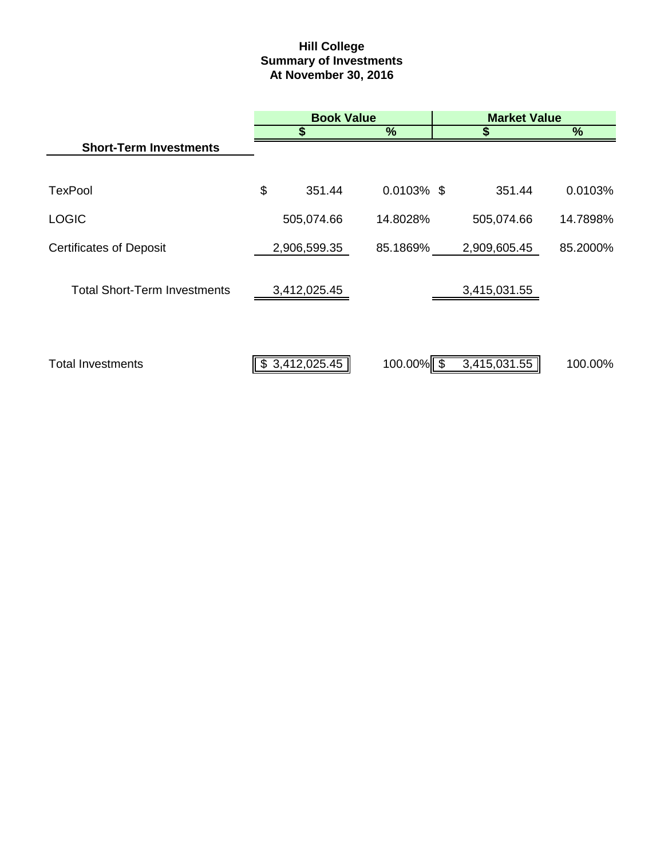# **Hill College Summary of Investments At November 30, 2016**

|                                     | <b>Book Value</b> |               |    | <b>Market Value</b> |          |  |
|-------------------------------------|-------------------|---------------|----|---------------------|----------|--|
|                                     |                   | $\%$          |    |                     | %        |  |
| <b>Short-Term Investments</b>       |                   |               |    |                     |          |  |
|                                     |                   |               |    |                     |          |  |
| <b>TexPool</b>                      | \$<br>351.44      | $0.0103\%$ \$ |    | 351.44              | 0.0103%  |  |
| <b>LOGIC</b>                        | 505,074.66        | 14.8028%      |    | 505,074.66          | 14.7898% |  |
| <b>Certificates of Deposit</b>      | 2,906,599.35      | 85.1869%      |    | 2,909,605.45        | 85.2000% |  |
| <b>Total Short-Term Investments</b> | 3,412,025.45      |               |    | 3,415,031.55        |          |  |
| <b>Total Investments</b>            | \$3,412,025.45    | 100.00%       | -S | 3,415,031.55        | 100.00%  |  |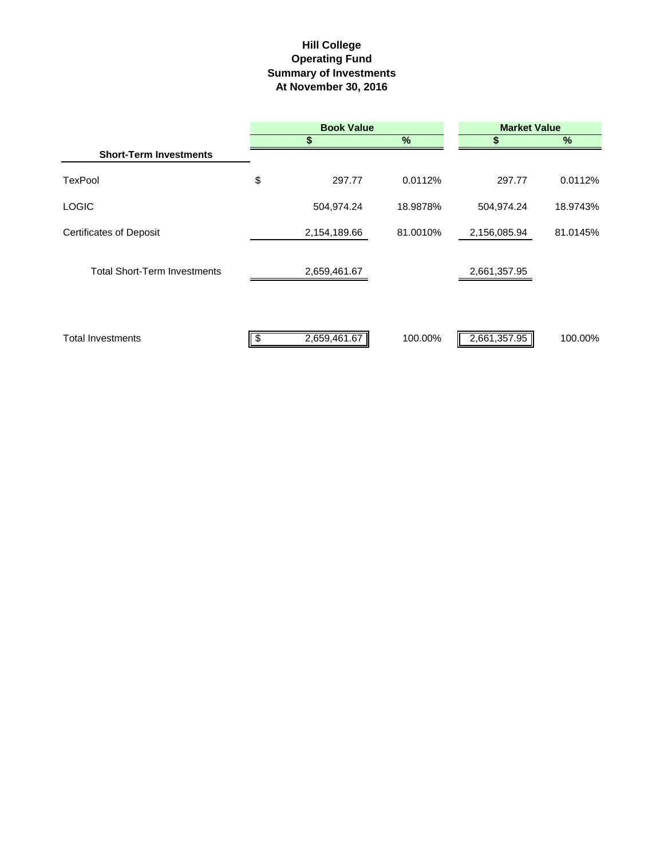## **Hill College Operating Fund At November 30, 2016 Summary of Investments**

|                                     | <b>Book Value</b> |              |          | <b>Market Value</b> |          |  |  |
|-------------------------------------|-------------------|--------------|----------|---------------------|----------|--|--|
|                                     |                   | \$           | $\%$     | S                   | $\%$     |  |  |
| <b>Short-Term Investments</b>       |                   |              |          |                     |          |  |  |
| TexPool                             | \$                | 297.77       | 0.0112%  | 297.77              | 0.0112%  |  |  |
| <b>LOGIC</b>                        |                   | 504,974.24   | 18.9878% | 504,974.24          | 18.9743% |  |  |
| <b>Certificates of Deposit</b>      |                   | 2,154,189.66 | 81.0010% | 2,156,085.94        | 81.0145% |  |  |
| <b>Total Short-Term Investments</b> |                   | 2,659,461.67 |          | 2,661,357.95        |          |  |  |
| <b>Total Investments</b>            |                   | 2,659,461.67 | 100.00%  | 2,661,357.95        | 100.00%  |  |  |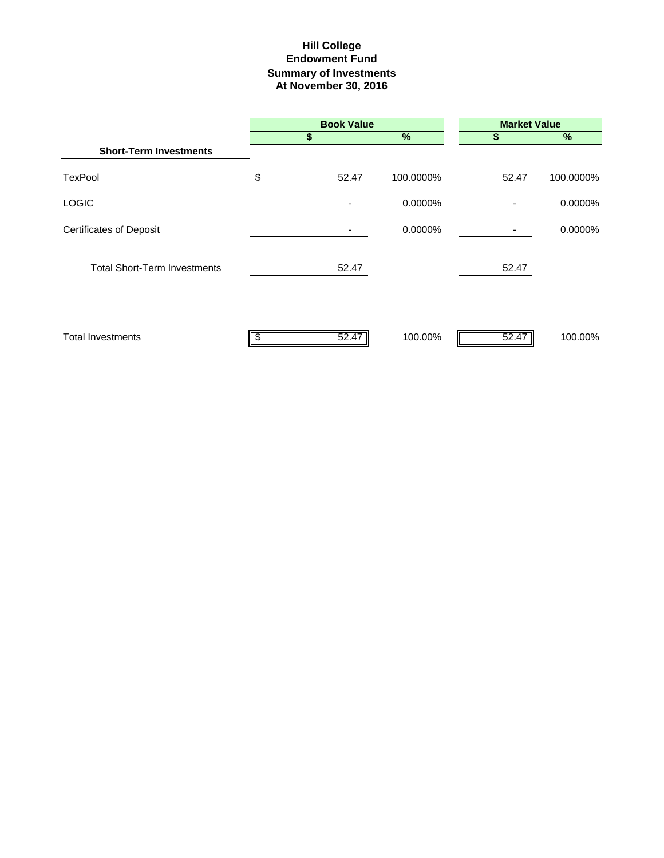## **Hill College Endowment Fund Summary of Investments At November 30, 2016**

|                                     |    | <b>Book Value</b> |           | <b>Market Value</b> |               |  |
|-------------------------------------|----|-------------------|-----------|---------------------|---------------|--|
|                                     | S  |                   | %         |                     | $\frac{9}{6}$ |  |
| <b>Short-Term Investments</b>       |    |                   |           |                     |               |  |
| TexPool                             | \$ | 52.47             | 100.0000% | 52.47               | 100.0000%     |  |
| <b>LOGIC</b>                        |    |                   | 0.0000%   |                     | 0.0000%       |  |
| <b>Certificates of Deposit</b>      |    |                   | 0.0000%   |                     | 0.0000%       |  |
| <b>Total Short-Term Investments</b> |    | 52.47             |           | 52.47               |               |  |
| <b>Total Investments</b>            |    | 52.47             | 100.00%   | 52.47               | 100.00%       |  |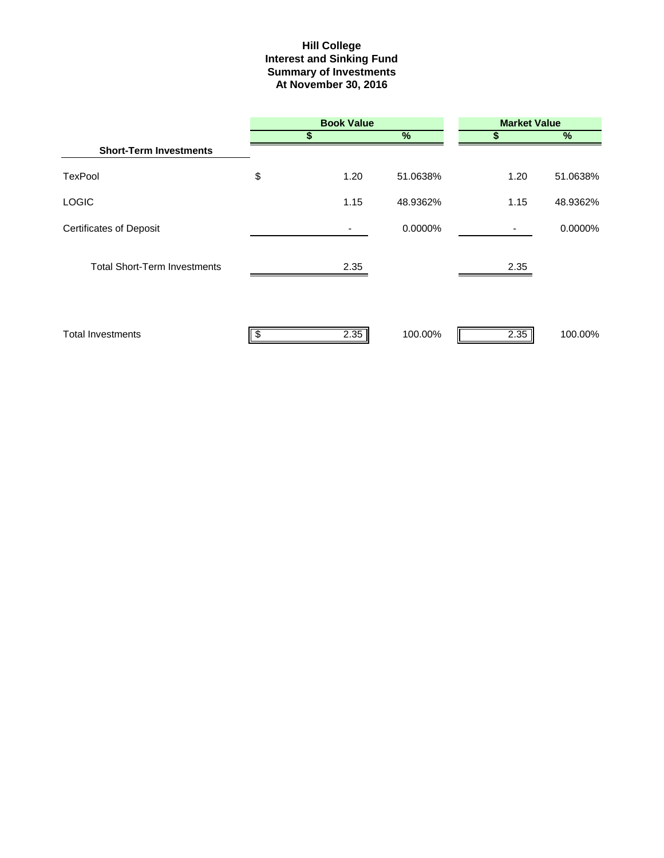#### **Hill College Interest and Sinking Fund Summary of Investments At November 30, 2016**

|                                     |    | <b>Book Value</b> |          |      | <b>Market Value</b> |  |  |  |
|-------------------------------------|----|-------------------|----------|------|---------------------|--|--|--|
|                                     | S  |                   | $\%$     |      | %                   |  |  |  |
| <b>Short-Term Investments</b>       |    |                   |          |      |                     |  |  |  |
| <b>TexPool</b>                      | \$ | 1.20              | 51.0638% | 1.20 | 51.0638%            |  |  |  |
| <b>LOGIC</b>                        |    | 1.15              | 48.9362% | 1.15 | 48.9362%            |  |  |  |
| <b>Certificates of Deposit</b>      |    |                   | 0.0000%  |      | 0.0000%             |  |  |  |
| <b>Total Short-Term Investments</b> |    | 2.35              |          | 2.35 |                     |  |  |  |
| <b>Total Investments</b>            |    | 2.35              | 100.00%  | 2.35 | 100.00%             |  |  |  |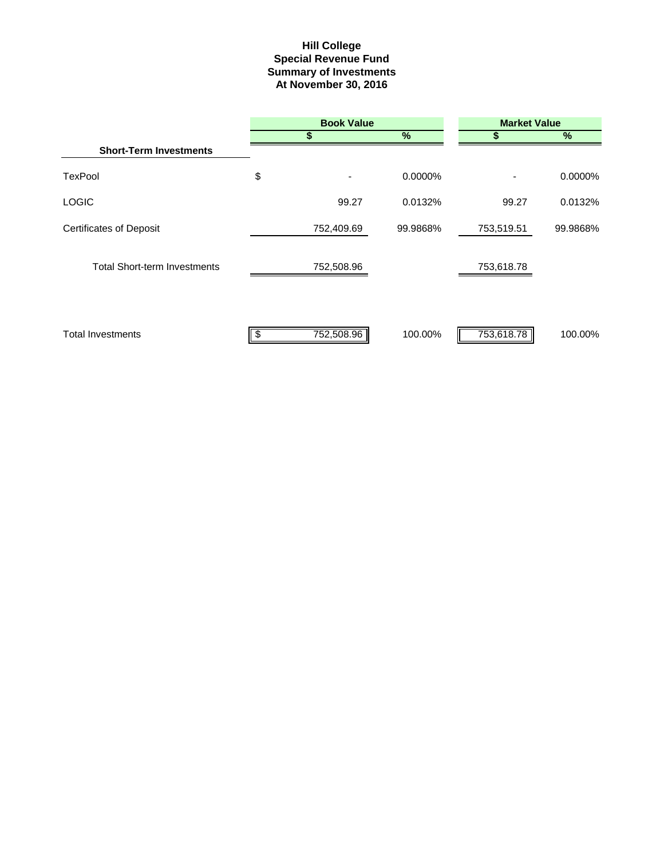#### **Summary of Investments At November 30, 2016 Special Revenue Fund Hill College**

|                                     | <b>Book Value</b> |               |            | <b>Market Value</b> |  |  |  |
|-------------------------------------|-------------------|---------------|------------|---------------------|--|--|--|
|                                     | S                 | $\frac{0}{0}$ |            | %                   |  |  |  |
| <b>Short-Term Investments</b>       |                   |               |            |                     |  |  |  |
| TexPool                             | \$                | 0.0000%       |            | 0.0000%             |  |  |  |
| <b>LOGIC</b>                        | 99.27             | 0.0132%       | 99.27      | 0.0132%             |  |  |  |
| <b>Certificates of Deposit</b>      | 752,409.69        | 99.9868%      | 753,519.51 | 99.9868%            |  |  |  |
| <b>Total Short-term Investments</b> | 752,508.96        |               | 753,618.78 |                     |  |  |  |
| <b>Total Investments</b>            | 752,508.96        | 100.00%       | 753,618.78 | 100.00%             |  |  |  |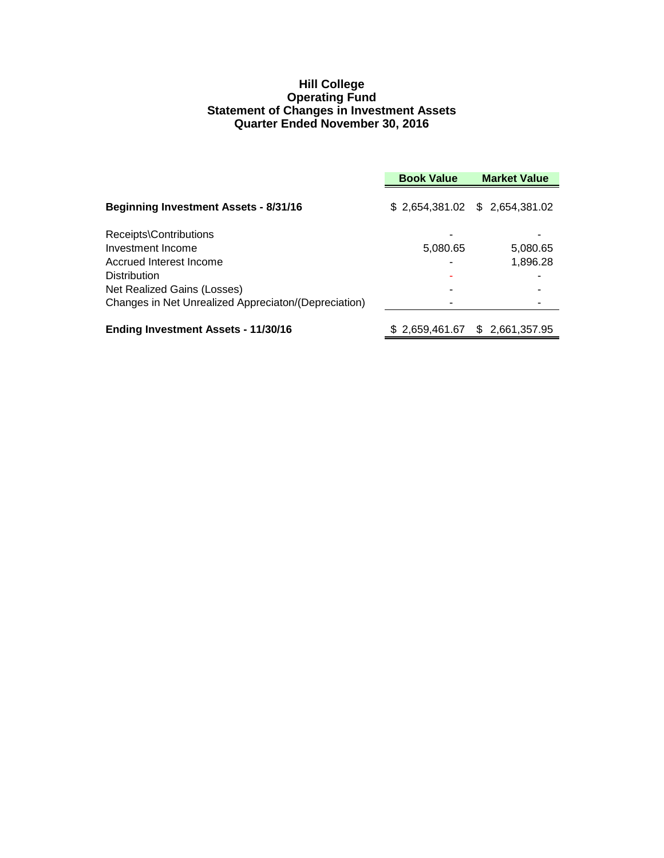#### **Hill College Operating Fund Statement of Changes in Investment Assets Quarter Ended November 30, 2016**

|                                                      | <b>Book Value</b> | <b>Market Value</b>             |
|------------------------------------------------------|-------------------|---------------------------------|
| <b>Beginning Investment Assets - 8/31/16</b>         |                   | \$ 2,654,381.02 \$ 2,654,381.02 |
| Receipts\Contributions<br>Investment Income          | 5,080.65          | 5,080.65                        |
| Accrued Interest Income                              |                   | 1,896.28                        |
| <b>Distribution</b>                                  |                   |                                 |
| Net Realized Gains (Losses)                          |                   |                                 |
| Changes in Net Unrealized Appreciaton/(Depreciation) |                   |                                 |
| <b>Ending Investment Assets - 11/30/16</b>           |                   | \$ 2,659,461.67 \$ 2,661,357.95 |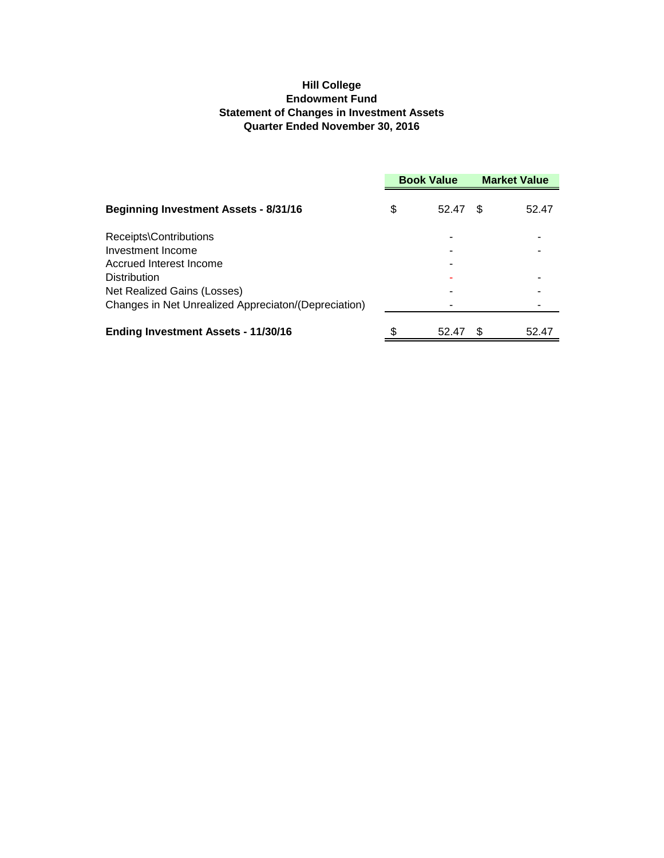#### **Hill College Endowment Fund Statement of Changes in Investment Assets Quarter Ended November 30, 2016**

|                                                      | <b>Book Value</b> |    | <b>Market Value</b> |  |
|------------------------------------------------------|-------------------|----|---------------------|--|
| <b>Beginning Investment Assets - 8/31/16</b>         | \$<br>52.47       | -S | 52.47               |  |
| Receipts\Contributions                               |                   |    |                     |  |
| Investment Income                                    |                   |    |                     |  |
| Accrued Interest Income                              |                   |    |                     |  |
| <b>Distribution</b>                                  |                   |    |                     |  |
| Net Realized Gains (Losses)                          |                   |    |                     |  |
| Changes in Net Unrealized Appreciaton/(Depreciation) |                   |    |                     |  |
| <b>Ending Investment Assets - 11/30/16</b>           | 52.47             |    | 52.47               |  |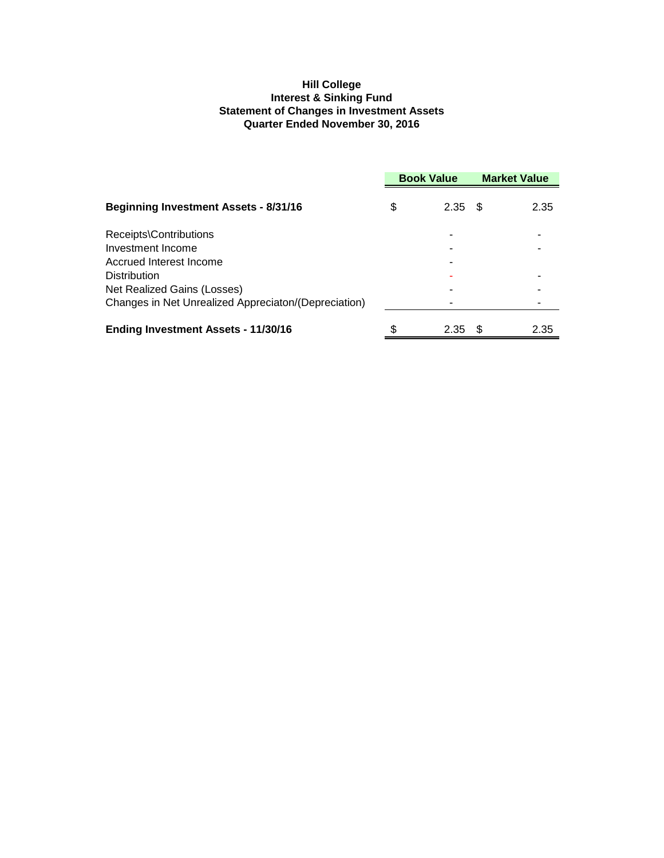#### **Hill College Interest & Sinking Fund Statement of Changes in Investment Assets Quarter Ended November 30, 2016**

|                                                      | <b>Book Value</b> |           | <b>Market Value</b> |      |
|------------------------------------------------------|-------------------|-----------|---------------------|------|
| <b>Beginning Investment Assets - 8/31/16</b>         | \$                | $2.35$ \$ |                     | 2.35 |
| Receipts\Contributions                               |                   |           |                     |      |
| Investment Income                                    |                   |           |                     |      |
| Accrued Interest Income                              |                   |           |                     |      |
| <b>Distribution</b>                                  |                   |           |                     |      |
| Net Realized Gains (Losses)                          |                   |           |                     |      |
| Changes in Net Unrealized Appreciaton/(Depreciation) |                   |           |                     |      |
| <b>Ending Investment Assets - 11/30/16</b>           |                   | 2.35      | - 35                | 2.35 |